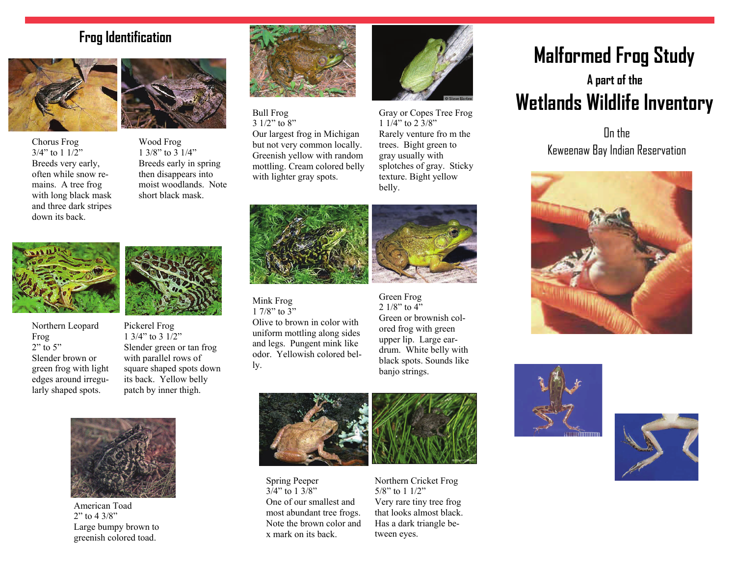### **Frog Identification**



Chorus Frog  $3/4$ " to 1  $1/2$ " Breeds very early, often while snow remains. A tree frog with long black mask and three dark stripes down its back.



Wood Frog  $1.3/8$ " to  $3.1/4$ " Breeds early in spring then disappears into moist woodlands. Note short black mask.



Bull Frog 3 1/2" to 8" Our largest frog in Michigan but not very common locally. Greenish yellow with random mottling. Cream colored belly with lighter gray spots.



Gray or Copes Tree Frog  $1 \frac{1}{4}$ " to  $2 \frac{3}{8}$ " Rarely venture fro m the trees. Bight green to gray usually with splotches of gray. Sticky texture. Bight yellow belly.



Mink Frog 1 7/8" to 3" Olive to brown in color with uniform mottling along sides and legs. Pungent mink like odor. Yellowish colored belly.



Green Frog 2  $1/8$ " to  $4$ " Green or brownish colored frog with green upper lip. Large eardrum. White belly with black spots. Sounds like banjo strings.



Spring Peeper  $3/4$ " to 1  $3/8$ " One of our smallest and most abundant tree frogs. Note the brown color and x mark on its back.

Northern Cricket Frog 5/8" to 1 1/2" Very rare tiny tree frog that looks almost black. Has a dark triangle between eyes.

# **Malformed Frog Study A part of the Wetlands Wildlife Inventory**

On the Keweenaw Bay Indian Reservation









Northern Leopard Frog  $2"$  to 5" Slender brown or green frog with light edges around irregularly shaped spots.



1 3/4" to 3 1/2" Slender green or tan frog with parallel rows of square shaped spots down its back. Yellow belly patch by inner thigh.



American Toad  $2"$  to 4 3/8" Large bumpy brown to greenish colored toad.